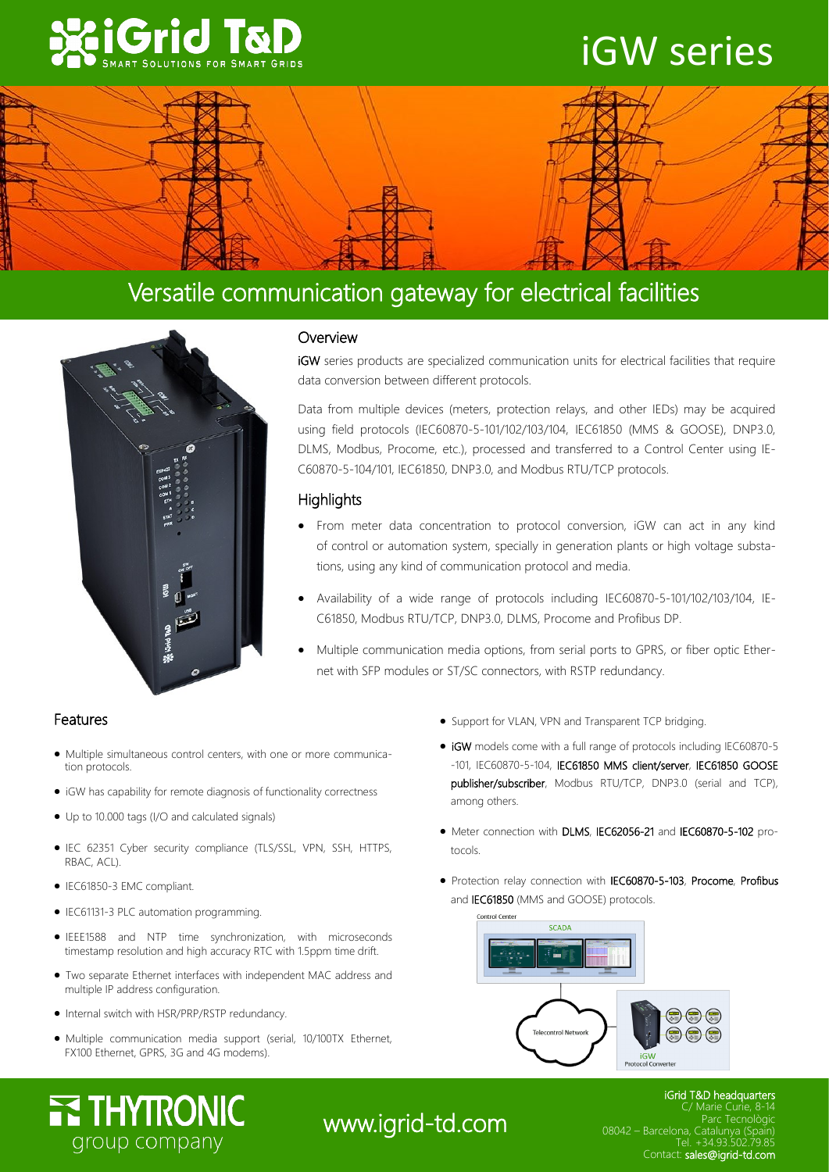

# iGW series



## Versatile communication gateway for electrical facilities



## **Overview**

iGW series products are specialized communication units for electrical facilities that require data conversion between different protocols.

Data from multiple devices (meters, protection relays, and other IEDs) may be acquired using field protocols (IEC60870-5-101/102/103/104, IEC61850 (MMS & GOOSE), DNP3.0, DLMS, Modbus, Procome, etc.), processed and transferred to a Control Center using IE-C60870-5-104/101, IEC61850, DNP3.0, and Modbus RTU/TCP protocols.

## **Highlights**

- From meter data concentration to protocol conversion, iGW can act in any kind of control or automation system, specially in generation plants or high voltage substations, using any kind of communication protocol and media.
- Availability of a wide range of protocols including IEC60870-5-101/102/103/104, IE-C61850, Modbus RTU/TCP, DNP3.0, DLMS, Procome and Profibus DP.
- Multiple communication media options, from serial ports to GPRS, or fiber optic Ethernet with SFP modules or ST/SC connectors, with RSTP redundancy.

## Features

- Multiple simultaneous control centers, with one or more communication protocols.
- iGW has capability for remote diagnosis of functionality correctness
- Up to 10.000 tags (I/O and calculated signals)
- IEC 62351 Cyber security compliance (TLS/SSL, VPN, SSH, HTTPS, RBAC, ACL).
- IEC61850-3 EMC compliant.
- IEC61131-3 PLC automation programming.
- IEEE1588 and NTP time synchronization, with microseconds timestamp resolution and high accuracy RTC with 1.5ppm time drift.
- Two separate Ethernet interfaces with independent MAC address and multiple IP address configuration.
- Internal switch with HSR/PRP/RSTP redundancy.
- Multiple communication media support (serial, 10/100TX Ethernet, FX100 Ethernet, GPRS, 3G and 4G modems).
- Support for VLAN, VPN and Transparent TCP bridging.
- iGW models come with a full range of protocols including IEC60870-5 -101, IEC60870-5-104, IEC61850 MMS client/server, IEC61850 GOOSE publisher/subscriber, Modbus RTU/TCP, DNP3.0 (serial and TCP), among others.
- Meter connection with DLMS, IEC62056-21 and IEC60870-5-102 protocols.
- Protection relay connection with IEC60870-5-103, Procome, Profibus and IEC61850 (MMS and GOOSE) protocols.



# **ETHYTRONIC** group company

## www.igrid-td.com

#### iGrid T&D headquarters Barcelona Advanced Industry Park Parc Tecnològic 08042 – Barcelona, Catalunya (Spain) 08042 – Barcelona, Catalunya (Spain) Contact: sales@igrid-td.com Marie Curie, 8-1 Tel. +34.93.502.79.85